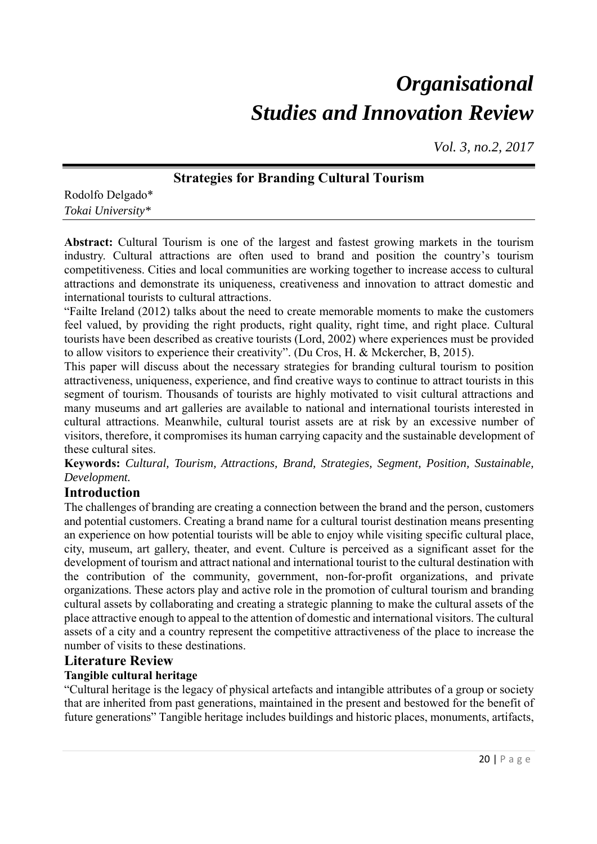# *Organisational Studies and Innovation Review*

*Vol. 3, no.2, 2017*

# **Strategies for Branding Cultural Tourism**

Rodolfo Delgado\* *Tokai University\** 

**Abstract:** Cultural Tourism is one of the largest and fastest growing markets in the tourism industry. Cultural attractions are often used to brand and position the country's tourism competitiveness. Cities and local communities are working together to increase access to cultural attractions and demonstrate its uniqueness, creativeness and innovation to attract domestic and international tourists to cultural attractions.

"Failte Ireland (2012) talks about the need to create memorable moments to make the customers feel valued, by providing the right products, right quality, right time, and right place. Cultural tourists have been described as creative tourists (Lord, 2002) where experiences must be provided to allow visitors to experience their creativity". (Du Cros, H. & Mckercher, B, 2015).

This paper will discuss about the necessary strategies for branding cultural tourism to position attractiveness, uniqueness, experience, and find creative ways to continue to attract tourists in this segment of tourism. Thousands of tourists are highly motivated to visit cultural attractions and many museums and art galleries are available to national and international tourists interested in cultural attractions. Meanwhile, cultural tourist assets are at risk by an excessive number of visitors, therefore, it compromises its human carrying capacity and the sustainable development of these cultural sites.

**Keywords:** *Cultural, Tourism, Attractions, Brand, Strategies, Segment, Position, Sustainable, Development.* 

# **Introduction**

The challenges of branding are creating a connection between the brand and the person, customers and potential customers. Creating a brand name for a cultural tourist destination means presenting an experience on how potential tourists will be able to enjoy while visiting specific cultural place, city, museum, art gallery, theater, and event. Culture is perceived as a significant asset for the development of tourism and attract national and international tourist to the cultural destination with the contribution of the community, government, non-for-profit organizations, and private organizations. These actors play and active role in the promotion of cultural tourism and branding cultural assets by collaborating and creating a strategic planning to make the cultural assets of the place attractive enough to appeal to the attention of domestic and international visitors. The cultural assets of a city and a country represent the competitive attractiveness of the place to increase the number of visits to these destinations.

# **Literature Review**

### **Tangible cultural heritage**

"Cultural heritage is the legacy of physical artefacts and intangible attributes of a group or society that are inherited from past generations, maintained in the present and bestowed for the benefit of future generations" Tangible heritage includes buildings and historic places, monuments, artifacts,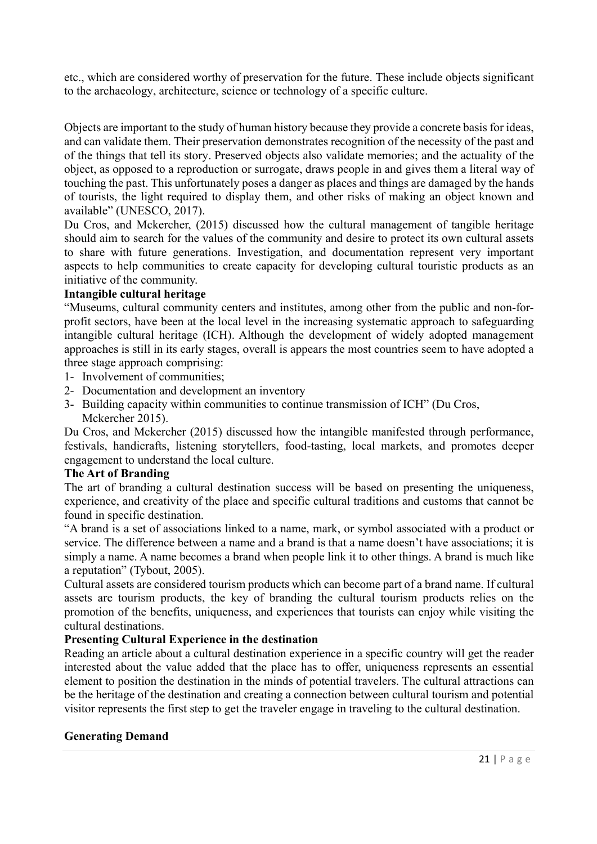etc., which are considered worthy of preservation for the future. These include objects significant to the archaeology, architecture, science or technology of a specific culture.

Objects are important to the study of human history because they provide a concrete basis for ideas, and can validate them. Their preservation demonstrates recognition of the necessity of the past and of the things that tell its story. Preserved objects also validate memories; and the actuality of the object, as opposed to a reproduction or surrogate, draws people in and gives them a literal way of touching the past. This unfortunately poses a danger as places and things are damaged by the hands of tourists, the light required to display them, and other risks of making an object known and available" (UNESCO, 2017).

Du Cros, and Mckercher, (2015) discussed how the cultural management of tangible heritage should aim to search for the values of the community and desire to protect its own cultural assets to share with future generations. Investigation, and documentation represent very important aspects to help communities to create capacity for developing cultural touristic products as an initiative of the community.

### **Intangible cultural heritage**

"Museums, cultural community centers and institutes, among other from the public and non-forprofit sectors, have been at the local level in the increasing systematic approach to safeguarding intangible cultural heritage (ICH). Although the development of widely adopted management approaches is still in its early stages, overall is appears the most countries seem to have adopted a three stage approach comprising:

- 1- Involvement of communities;
- 2- Documentation and development an inventory
- 3- Building capacity within communities to continue transmission of ICH" (Du Cros, Mckercher 2015).

Du Cros, and Mckercher (2015) discussed how the intangible manifested through performance, festivals, handicrafts, listening storytellers, food-tasting, local markets, and promotes deeper engagement to understand the local culture.

#### **The Art of Branding**

The art of branding a cultural destination success will be based on presenting the uniqueness, experience, and creativity of the place and specific cultural traditions and customs that cannot be found in specific destination.

"A brand is a set of associations linked to a name, mark, or symbol associated with a product or service. The difference between a name and a brand is that a name doesn't have associations; it is simply a name. A name becomes a brand when people link it to other things. A brand is much like a reputation" (Tybout, 2005).

Cultural assets are considered tourism products which can become part of a brand name. If cultural assets are tourism products, the key of branding the cultural tourism products relies on the promotion of the benefits, uniqueness, and experiences that tourists can enjoy while visiting the cultural destinations.

### **Presenting Cultural Experience in the destination**

Reading an article about a cultural destination experience in a specific country will get the reader interested about the value added that the place has to offer, uniqueness represents an essential element to position the destination in the minds of potential travelers. The cultural attractions can be the heritage of the destination and creating a connection between cultural tourism and potential visitor represents the first step to get the traveler engage in traveling to the cultural destination.

### **Generating Demand**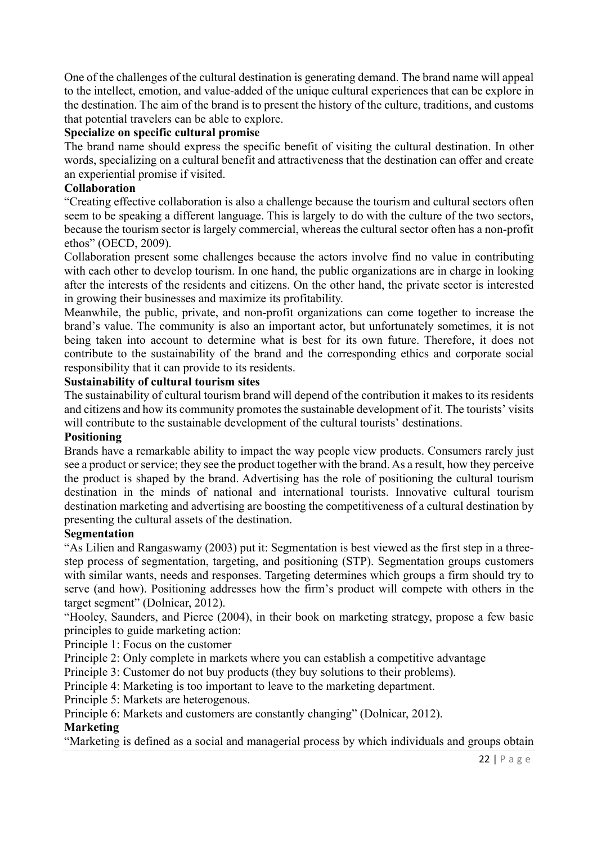One of the challenges of the cultural destination is generating demand. The brand name will appeal to the intellect, emotion, and value-added of the unique cultural experiences that can be explore in the destination. The aim of the brand is to present the history of the culture, traditions, and customs that potential travelers can be able to explore.

### **Specialize on specific cultural promise**

The brand name should express the specific benefit of visiting the cultural destination. In other words, specializing on a cultural benefit and attractiveness that the destination can offer and create an experiential promise if visited.

## **Collaboration**

"Creating effective collaboration is also a challenge because the tourism and cultural sectors often seem to be speaking a different language. This is largely to do with the culture of the two sectors, because the tourism sector is largely commercial, whereas the cultural sector often has a non-profit ethos" (OECD, 2009).

Collaboration present some challenges because the actors involve find no value in contributing with each other to develop tourism. In one hand, the public organizations are in charge in looking after the interests of the residents and citizens. On the other hand, the private sector is interested in growing their businesses and maximize its profitability.

Meanwhile, the public, private, and non-profit organizations can come together to increase the brand's value. The community is also an important actor, but unfortunately sometimes, it is not being taken into account to determine what is best for its own future. Therefore, it does not contribute to the sustainability of the brand and the corresponding ethics and corporate social responsibility that it can provide to its residents.

## **Sustainability of cultural tourism sites**

The sustainability of cultural tourism brand will depend of the contribution it makes to its residents and citizens and how its community promotes the sustainable development of it. The tourists' visits will contribute to the sustainable development of the cultural tourists' destinations.

### **Positioning**

Brands have a remarkable ability to impact the way people view products. Consumers rarely just see a product or service; they see the product together with the brand. As a result, how they perceive the product is shaped by the brand. Advertising has the role of positioning the cultural tourism destination in the minds of national and international tourists. Innovative cultural tourism destination marketing and advertising are boosting the competitiveness of a cultural destination by presenting the cultural assets of the destination.

# **Segmentation**

"As Lilien and Rangaswamy (2003) put it: Segmentation is best viewed as the first step in a threestep process of segmentation, targeting, and positioning (STP). Segmentation groups customers with similar wants, needs and responses. Targeting determines which groups a firm should try to serve (and how). Positioning addresses how the firm's product will compete with others in the target segment" (Dolnicar, 2012).

"Hooley, Saunders, and Pierce (2004), in their book on marketing strategy, propose a few basic principles to guide marketing action:

Principle 1: Focus on the customer

Principle 2: Only complete in markets where you can establish a competitive advantage

Principle 3: Customer do not buy products (they buy solutions to their problems).

Principle 4: Marketing is too important to leave to the marketing department.

Principle 5: Markets are heterogenous.

Principle 6: Markets and customers are constantly changing" (Dolnicar, 2012).

### **Marketing**

"Marketing is defined as a social and managerial process by which individuals and groups obtain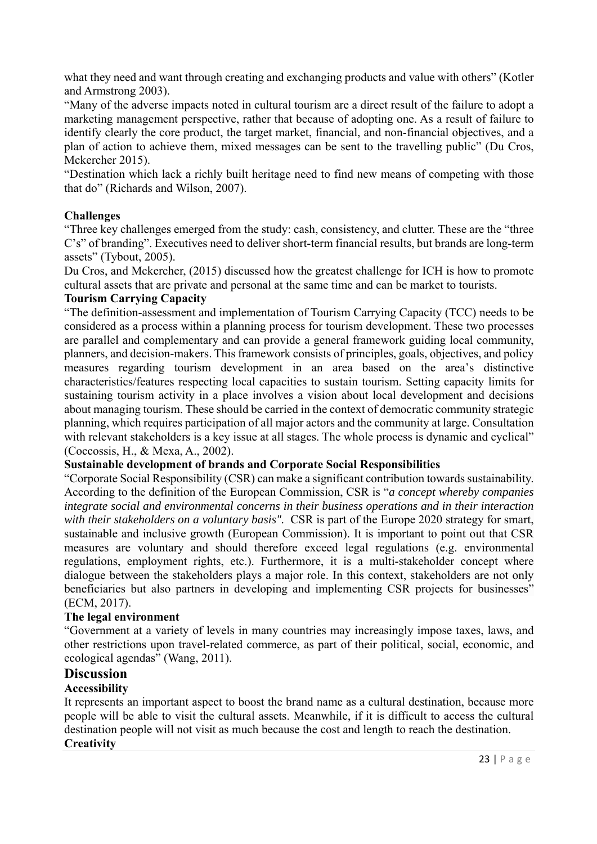what they need and want through creating and exchanging products and value with others" (Kotler and Armstrong 2003).

"Many of the adverse impacts noted in cultural tourism are a direct result of the failure to adopt a marketing management perspective, rather that because of adopting one. As a result of failure to identify clearly the core product, the target market, financial, and non-financial objectives, and a plan of action to achieve them, mixed messages can be sent to the travelling public" (Du Cros, Mckercher 2015).

"Destination which lack a richly built heritage need to find new means of competing with those that do" (Richards and Wilson, 2007).

## **Challenges**

"Three key challenges emerged from the study: cash, consistency, and clutter. These are the "three C's" of branding". Executives need to deliver short-term financial results, but brands are long-term assets" (Tybout, 2005).

Du Cros, and Mckercher, (2015) discussed how the greatest challenge for ICH is how to promote cultural assets that are private and personal at the same time and can be market to tourists.

#### **Tourism Carrying Capacity**

"The definition-assessment and implementation of Tourism Carrying Capacity (TCC) needs to be considered as a process within a planning process for tourism development. These two processes are parallel and complementary and can provide a general framework guiding local community, planners, and decision-makers. This framework consists of principles, goals, objectives, and policy measures regarding tourism development in an area based on the area's distinctive characteristics/features respecting local capacities to sustain tourism. Setting capacity limits for sustaining tourism activity in a place involves a vision about local development and decisions about managing tourism. These should be carried in the context of democratic community strategic planning, which requires participation of all major actors and the community at large. Consultation with relevant stakeholders is a key issue at all stages. The whole process is dynamic and cyclical" (Coccossis, H., & Mexa, A., 2002).

### **Sustainable development of brands and Corporate Social Responsibilities**

"Corporate Social Responsibility (CSR) can make a significant contribution towards sustainability. According to the definition of the European Commission, CSR is "*a concept whereby companies integrate social and environmental concerns in their business operations and in their interaction*  with their stakeholders on a voluntary basis". CSR is part of the Europe 2020 strategy for smart, sustainable and inclusive growth (European Commission). It is important to point out that CSR measures are voluntary and should therefore exceed legal regulations (e.g. environmental regulations, employment rights, etc.). Furthermore, it is a multi-stakeholder concept where dialogue between the stakeholders plays a major role. In this context, stakeholders are not only beneficiaries but also partners in developing and implementing CSR projects for businesses" (ECM, 2017).

### **The legal environment**

"Government at a variety of levels in many countries may increasingly impose taxes, laws, and other restrictions upon travel-related commerce, as part of their political, social, economic, and ecological agendas" (Wang, 2011).

# **Discussion**

### **Accessibility**

It represents an important aspect to boost the brand name as a cultural destination, because more people will be able to visit the cultural assets. Meanwhile, if it is difficult to access the cultural destination people will not visit as much because the cost and length to reach the destination. **Creativity**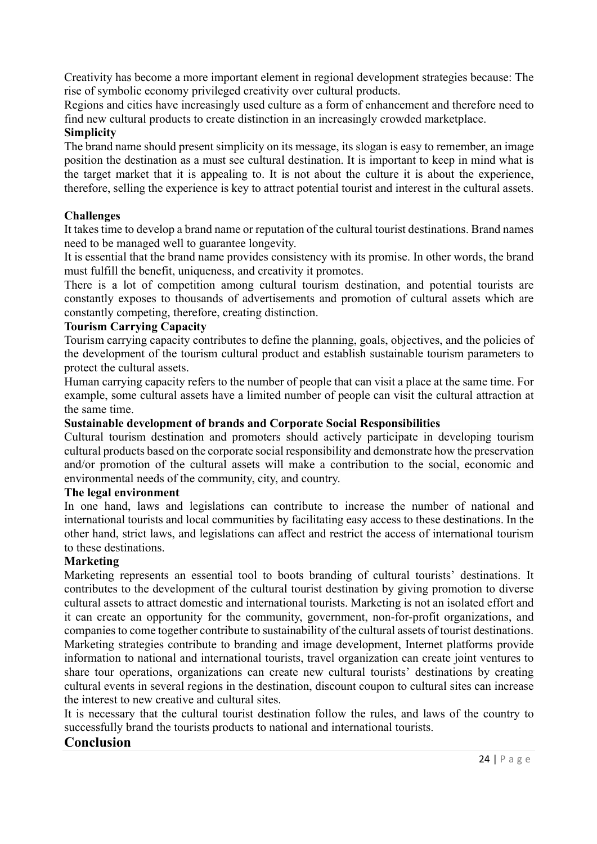Creativity has become a more important element in regional development strategies because: The rise of symbolic economy privileged creativity over cultural products.

Regions and cities have increasingly used culture as a form of enhancement and therefore need to find new cultural products to create distinction in an increasingly crowded marketplace.

### **Simplicity**

The brand name should present simplicity on its message, its slogan is easy to remember, an image position the destination as a must see cultural destination. It is important to keep in mind what is the target market that it is appealing to. It is not about the culture it is about the experience, therefore, selling the experience is key to attract potential tourist and interest in the cultural assets.

## **Challenges**

It takes time to develop a brand name or reputation of the cultural tourist destinations. Brand names need to be managed well to guarantee longevity.

It is essential that the brand name provides consistency with its promise. In other words, the brand must fulfill the benefit, uniqueness, and creativity it promotes.

There is a lot of competition among cultural tourism destination, and potential tourists are constantly exposes to thousands of advertisements and promotion of cultural assets which are constantly competing, therefore, creating distinction.

### **Tourism Carrying Capacity**

Tourism carrying capacity contributes to define the planning, goals, objectives, and the policies of the development of the tourism cultural product and establish sustainable tourism parameters to protect the cultural assets.

Human carrying capacity refers to the number of people that can visit a place at the same time. For example, some cultural assets have a limited number of people can visit the cultural attraction at the same time.

### **Sustainable development of brands and Corporate Social Responsibilities**

Cultural tourism destination and promoters should actively participate in developing tourism cultural products based on the corporate social responsibility and demonstrate how the preservation and/or promotion of the cultural assets will make a contribution to the social, economic and environmental needs of the community, city, and country.

#### **The legal environment**

In one hand, laws and legislations can contribute to increase the number of national and international tourists and local communities by facilitating easy access to these destinations. In the other hand, strict laws, and legislations can affect and restrict the access of international tourism to these destinations.

### **Marketing**

Marketing represents an essential tool to boots branding of cultural tourists' destinations. It contributes to the development of the cultural tourist destination by giving promotion to diverse cultural assets to attract domestic and international tourists. Marketing is not an isolated effort and it can create an opportunity for the community, government, non-for-profit organizations, and companies to come together contribute to sustainability of the cultural assets of tourist destinations. Marketing strategies contribute to branding and image development, Internet platforms provide information to national and international tourists, travel organization can create joint ventures to share tour operations, organizations can create new cultural tourists' destinations by creating cultural events in several regions in the destination, discount coupon to cultural sites can increase the interest to new creative and cultural sites.

It is necessary that the cultural tourist destination follow the rules, and laws of the country to successfully brand the tourists products to national and international tourists.

### **Conclusion**